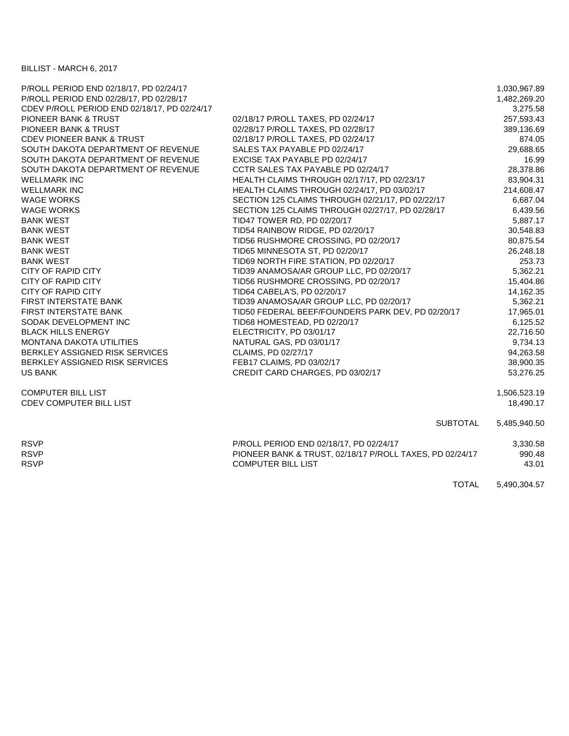BILLIST - MARCH 6, 2017

| P/ROLL PERIOD END 02/18/17, PD 02/24/17      |                                                          | 1,030,967.89 |
|----------------------------------------------|----------------------------------------------------------|--------------|
| P/ROLL PERIOD END 02/28/17, PD 02/28/17      |                                                          | 1,482,269.20 |
| CDEV P/ROLL PERIOD END 02/18/17, PD 02/24/17 |                                                          | 3,275.58     |
| PIONEER BANK & TRUST                         | 02/18/17 P/ROLL TAXES, PD 02/24/17                       | 257,593.43   |
| <b>PIONEER BANK &amp; TRUST</b>              | 02/28/17 P/ROLL TAXES, PD 02/28/17                       | 389,136.69   |
| <b>CDEV PIONEER BANK &amp; TRUST</b>         | 02/18/17 P/ROLL TAXES, PD 02/24/17                       | 874.05       |
| SOUTH DAKOTA DEPARTMENT OF REVENUE           | SALES TAX PAYABLE PD 02/24/17                            | 29,688.65    |
| SOUTH DAKOTA DEPARTMENT OF REVENUE           | EXCISE TAX PAYABLE PD 02/24/17                           | 16.99        |
| SOUTH DAKOTA DEPARTMENT OF REVENUE           | CCTR SALES TAX PAYABLE PD 02/24/17                       | 28,378.86    |
| <b>WELLMARK INC</b>                          | HEALTH CLAIMS THROUGH 02/17/17, PD 02/23/17              | 83,904.31    |
| <b>WELLMARK INC</b>                          | HEALTH CLAIMS THROUGH 02/24/17, PD 03/02/17              | 214,608.47   |
| <b>WAGE WORKS</b>                            | SECTION 125 CLAIMS THROUGH 02/21/17, PD 02/22/17         | 6,687.04     |
| <b>WAGE WORKS</b>                            | SECTION 125 CLAIMS THROUGH 02/27/17, PD 02/28/17         | 6,439.56     |
| <b>BANK WEST</b>                             | TID47 TOWER RD, PD 02/20/17                              | 5,887.17     |
| <b>BANK WEST</b>                             | TID54 RAINBOW RIDGE, PD 02/20/17                         | 30,548.83    |
| <b>BANK WEST</b>                             | TID56 RUSHMORE CROSSING, PD 02/20/17                     | 80,875.54    |
| <b>BANK WEST</b>                             | TID65 MINNESOTA ST, PD 02/20/17                          | 26,248.18    |
| <b>BANK WEST</b>                             | TID69 NORTH FIRE STATION, PD 02/20/17                    | 253.73       |
| <b>CITY OF RAPID CITY</b>                    | TID39 ANAMOSA/AR GROUP LLC, PD 02/20/17                  | 5,362.21     |
| <b>CITY OF RAPID CITY</b>                    | TID56 RUSHMORE CROSSING, PD 02/20/17                     | 15,404.86    |
| <b>CITY OF RAPID CITY</b>                    | TID64 CABELA'S, PD 02/20/17                              | 14,162.35    |
| <b>FIRST INTERSTATE BANK</b>                 | TID39 ANAMOSA/AR GROUP LLC, PD 02/20/17                  | 5,362.21     |
| <b>FIRST INTERSTATE BANK</b>                 | TID50 FEDERAL BEEF/FOUNDERS PARK DEV, PD 02/20/17        | 17,965.01    |
| SODAK DEVELOPMENT INC                        | TID68 HOMESTEAD, PD 02/20/17                             | 6,125.52     |
| <b>BLACK HILLS ENERGY</b>                    | ELECTRICITY, PD 03/01/17                                 | 22,716.50    |
| <b>MONTANA DAKOTA UTILITIES</b>              | NATURAL GAS, PD 03/01/17                                 | 9,734.13     |
| BERKLEY ASSIGNED RISK SERVICES               | CLAIMS, PD 02/27/17                                      | 94,263.58    |
| BERKLEY ASSIGNED RISK SERVICES               | FEB17 CLAIMS, PD 03/02/17                                | 38,900.35    |
| <b>US BANK</b>                               | CREDIT CARD CHARGES, PD 03/02/17                         | 53,276.25    |
| <b>COMPUTER BILL LIST</b>                    |                                                          | 1,506,523.19 |
| <b>CDEV COMPUTER BILL LIST</b>               |                                                          | 18,490.17    |
|                                              | <b>SUBTOTAL</b>                                          | 5,485,940.50 |
| <b>RSVP</b>                                  | P/ROLL PERIOD END 02/18/17, PD 02/24/17                  | 3,330.58     |
| <b>RSVP</b>                                  | PIONEER BANK & TRUST, 02/18/17 P/ROLL TAXES, PD 02/24/17 | 990.48       |
| <b>RSVP</b>                                  | <b>COMPUTER BILL LIST</b>                                | 43.01        |
|                                              |                                                          |              |

TOTAL 5,490,304.57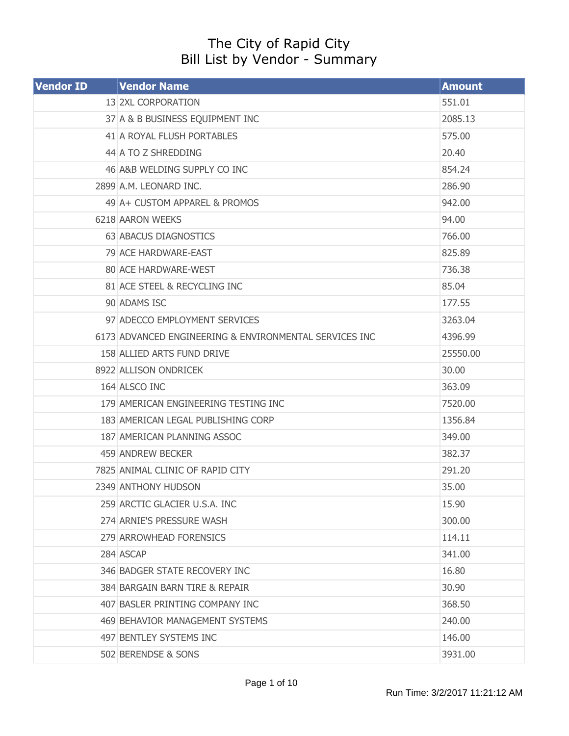## The City of Rapid City Bill List by Vendor - Summary

| <b>Vendor ID</b> | <b>Vendor Name</b>                                     | <b>Amount</b> |
|------------------|--------------------------------------------------------|---------------|
|                  | 13 2XL CORPORATION                                     | 551.01        |
|                  | 37 A & B BUSINESS EQUIPMENT INC                        | 2085.13       |
|                  | 41 A ROYAL FLUSH PORTABLES                             | 575.00        |
|                  | 44 A TO Z SHREDDING                                    | 20.40         |
|                  | 46 A&B WELDING SUPPLY CO INC                           | 854.24        |
|                  | 2899 A.M. LEONARD INC.                                 | 286.90        |
|                  | 49 A + CUSTOM APPAREL & PROMOS                         | 942.00        |
|                  | 6218 AARON WEEKS                                       | 94.00         |
|                  | 63 ABACUS DIAGNOSTICS                                  | 766.00        |
|                  | 79 ACE HARDWARE-EAST                                   | 825.89        |
|                  | 80 ACE HARDWARE-WEST                                   | 736.38        |
|                  | 81 ACE STEEL & RECYCLING INC                           | 85.04         |
|                  | 90 ADAMS ISC                                           | 177.55        |
|                  | 97 ADECCO EMPLOYMENT SERVICES                          | 3263.04       |
|                  | 6173 ADVANCED ENGINEERING & ENVIRONMENTAL SERVICES INC | 4396.99       |
|                  | 158 ALLIED ARTS FUND DRIVE                             | 25550.00      |
|                  | 8922 ALLISON ONDRICEK                                  | 30.00         |
|                  | 164 ALSCO INC                                          | 363.09        |
|                  | 179 AMERICAN ENGINEERING TESTING INC                   | 7520.00       |
|                  | 183 AMERICAN LEGAL PUBLISHING CORP                     | 1356.84       |
|                  | 187 AMERICAN PLANNING ASSOC                            | 349.00        |
|                  | 459 ANDREW BECKER                                      | 382.37        |
|                  | 7825 ANIMAL CLINIC OF RAPID CITY                       | 291.20        |
|                  | 2349 ANTHONY HUDSON                                    | 35.00         |
|                  | 259 ARCTIC GLACIER U.S.A. INC                          | 15.90         |
|                  | 274 ARNIE'S PRESSURE WASH                              | 300.00        |
|                  | 279 ARROWHEAD FORENSICS                                | 114.11        |
|                  | 284 ASCAP                                              | 341.00        |
|                  | 346 BADGER STATE RECOVERY INC                          | 16.80         |
|                  | 384 BARGAIN BARN TIRE & REPAIR                         | 30.90         |
|                  | 407 BASLER PRINTING COMPANY INC                        | 368.50        |
|                  | 469 BEHAVIOR MANAGEMENT SYSTEMS                        | 240.00        |
|                  | 497 BENTLEY SYSTEMS INC                                | 146.00        |
|                  | 502 BERENDSE & SONS                                    | 3931.00       |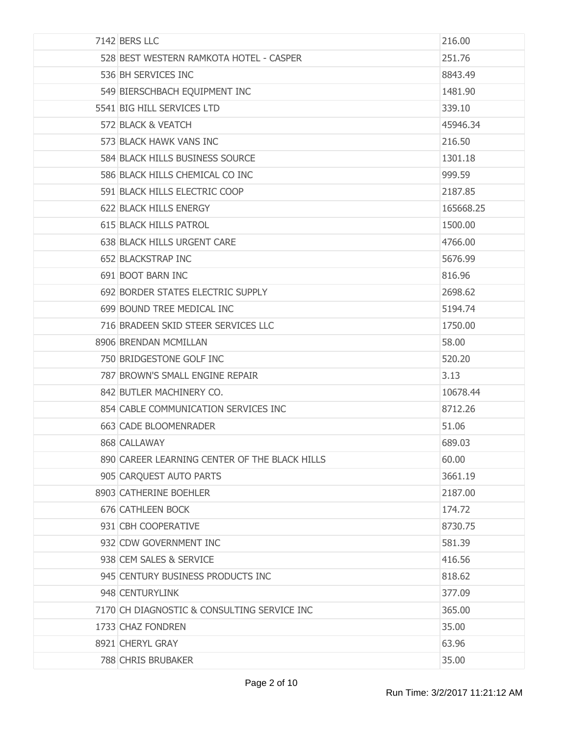| 7142 BERS LLC                                 | 216.00    |
|-----------------------------------------------|-----------|
| 528 BEST WESTERN RAMKOTA HOTEL - CASPER       | 251.76    |
| 536 BH SERVICES INC                           | 8843.49   |
| 549 BIERSCHBACH EQUIPMENT INC                 | 1481.90   |
| 5541 BIG HILL SERVICES LTD                    | 339.10    |
| 572 BLACK & VEATCH                            | 45946.34  |
| 573 BLACK HAWK VANS INC                       | 216.50    |
| 584 BLACK HILLS BUSINESS SOURCE               | 1301.18   |
| 586 BLACK HILLS CHEMICAL CO INC               | 999.59    |
| 591 BLACK HILLS ELECTRIC COOP                 | 2187.85   |
| 622 BLACK HILLS ENERGY                        | 165668.25 |
| <b>615 BLACK HILLS PATROL</b>                 | 1500.00   |
| 638 BLACK HILLS URGENT CARE                   | 4766.00   |
| 652 BLACKSTRAP INC                            | 5676.99   |
| 691 BOOT BARN INC                             | 816.96    |
| 692 BORDER STATES ELECTRIC SUPPLY             | 2698.62   |
| 699 BOUND TREE MEDICAL INC                    | 5194.74   |
| 716 BRADEEN SKID STEER SERVICES LLC           | 1750.00   |
| 8906 BRENDAN MCMILLAN                         | 58.00     |
| 750 BRIDGESTONE GOLF INC                      | 520.20    |
| 787 BROWN'S SMALL ENGINE REPAIR               | 3.13      |
| 842 BUTLER MACHINERY CO.                      | 10678.44  |
| 854 CABLE COMMUNICATION SERVICES INC          | 8712.26   |
| 663 CADE BLOOMENRADER                         | 51.06     |
| 868 CALLAWAY                                  | 689.03    |
| 890 CAREER LEARNING CENTER OF THE BLACK HILLS | 60.00     |
| 905 CARQUEST AUTO PARTS                       | 3661.19   |
| 8903 CATHERINE BOEHLER                        | 2187.00   |
| 676 CATHLEEN BOCK                             | 174.72    |
| 931 CBH COOPERATIVE                           | 8730.75   |
| 932 CDW GOVERNMENT INC                        | 581.39    |
| 938 CEM SALES & SERVICE                       | 416.56    |
| 945 CENTURY BUSINESS PRODUCTS INC             | 818.62    |
| 948 CENTURYLINK                               | 377.09    |
| 7170 CH DIAGNOSTIC & CONSULTING SERVICE INC   | 365.00    |
| 1733 CHAZ FONDREN                             | 35.00     |
| 8921 CHERYL GRAY                              | 63.96     |
| <b>788 CHRIS BRUBAKER</b>                     | 35.00     |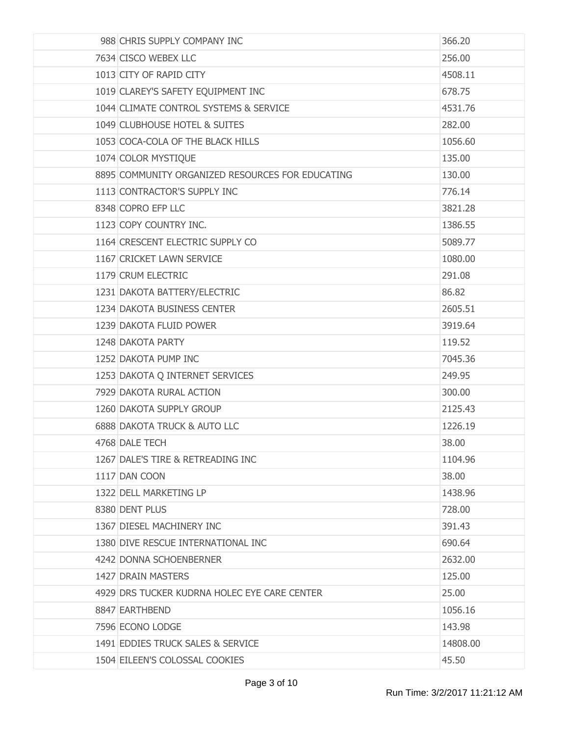| 988 CHRIS SUPPLY COMPANY INC                     | 366.20   |
|--------------------------------------------------|----------|
| 7634 CISCO WEBEX LLC                             | 256.00   |
| 1013 CITY OF RAPID CITY                          | 4508.11  |
| 1019 CLAREY'S SAFETY EQUIPMENT INC               | 678.75   |
| 1044 CLIMATE CONTROL SYSTEMS & SERVICE           | 4531.76  |
| 1049 CLUBHOUSE HOTEL & SUITES                    | 282.00   |
| 1053 COCA-COLA OF THE BLACK HILLS                | 1056.60  |
| 1074 COLOR MYSTIQUE                              | 135.00   |
| 8895 COMMUNITY ORGANIZED RESOURCES FOR EDUCATING | 130.00   |
| 1113 CONTRACTOR'S SUPPLY INC                     | 776.14   |
| 8348 COPRO EFP LLC                               | 3821.28  |
| 1123 COPY COUNTRY INC.                           | 1386.55  |
| 1164 CRESCENT ELECTRIC SUPPLY CO                 | 5089.77  |
| 1167 CRICKET LAWN SERVICE                        | 1080.00  |
| 1179 CRUM ELECTRIC                               | 291.08   |
| 1231 DAKOTA BATTERY/ELECTRIC                     | 86.82    |
| 1234 DAKOTA BUSINESS CENTER                      | 2605.51  |
| 1239 DAKOTA FLUID POWER                          | 3919.64  |
| 1248 DAKOTA PARTY                                | 119.52   |
| 1252 DAKOTA PUMP INC                             | 7045.36  |
| 1253 DAKOTA Q INTERNET SERVICES                  | 249.95   |
| 7929 DAKOTA RURAL ACTION                         | 300.00   |
| 1260 DAKOTA SUPPLY GROUP                         | 2125.43  |
| <b>6888 DAKOTA TRUCK &amp; AUTO LLC</b>          | 1226.19  |
| 4768 DALE TECH                                   | 38.00    |
| 1267 DALE'S TIRE & RETREADING INC                | 1104.96  |
| 1117 DAN COON                                    | 38.00    |
| 1322 DELL MARKETING LP                           | 1438.96  |
| 8380 DENT PLUS                                   | 728.00   |
| 1367 DIESEL MACHINERY INC                        | 391.43   |
| 1380 DIVE RESCUE INTERNATIONAL INC               | 690.64   |
| 4242 DONNA SCHOENBERNER                          | 2632.00  |
| 1427 DRAIN MASTERS                               | 125.00   |
| 4929 DRS TUCKER KUDRNA HOLEC EYE CARE CENTER     | 25.00    |
| 8847 EARTHBEND                                   | 1056.16  |
| 7596 ECONO LODGE                                 | 143.98   |
| 1491 EDDIES TRUCK SALES & SERVICE                | 14808.00 |
| 1504 EILEEN'S COLOSSAL COOKIES                   | 45.50    |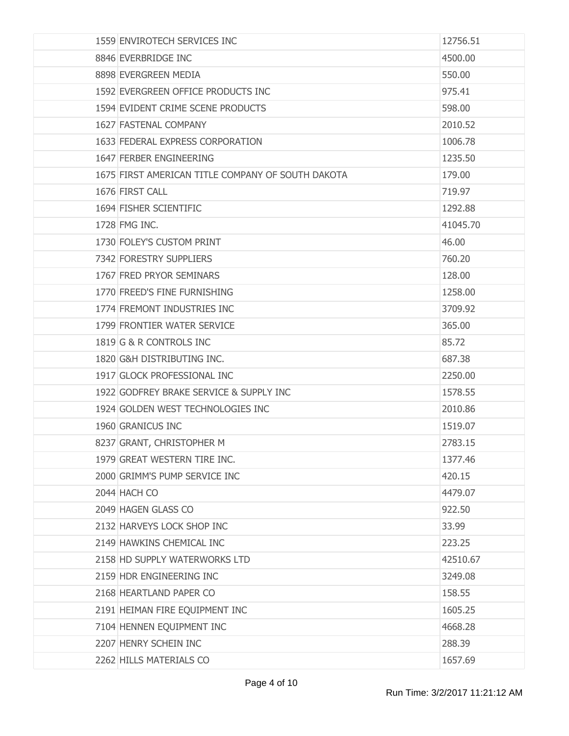| 1559 ENVIROTECH SERVICES INC                      | 12756.51 |
|---------------------------------------------------|----------|
| 8846 EVERBRIDGE INC                               | 4500.00  |
| 8898 EVERGREEN MEDIA                              | 550.00   |
| 1592 EVERGREEN OFFICE PRODUCTS INC                | 975.41   |
| 1594 EVIDENT CRIME SCENE PRODUCTS                 | 598.00   |
| 1627 FASTENAL COMPANY                             | 2010.52  |
| 1633 FEDERAL EXPRESS CORPORATION                  | 1006.78  |
| 1647 FERBER ENGINEERING                           | 1235.50  |
| 1675 FIRST AMERICAN TITLE COMPANY OF SOUTH DAKOTA | 179.00   |
| 1676 FIRST CALL                                   | 719.97   |
| 1694 FISHER SCIENTIFIC                            | 1292.88  |
| 1728 FMG INC.                                     | 41045.70 |
| 1730 FOLEY'S CUSTOM PRINT                         | 46.00    |
| 7342 FORESTRY SUPPLIERS                           | 760.20   |
| 1767 FRED PRYOR SEMINARS                          | 128.00   |
| 1770 FREED'S FINE FURNISHING                      | 1258.00  |
| 1774 FREMONT INDUSTRIES INC                       | 3709.92  |
| 1799 FRONTIER WATER SERVICE                       | 365.00   |
| 1819 G & R CONTROLS INC                           | 85.72    |
| 1820 G&H DISTRIBUTING INC.                        | 687.38   |
| 1917 GLOCK PROFESSIONAL INC                       | 2250.00  |
| 1922 GODFREY BRAKE SERVICE & SUPPLY INC           | 1578.55  |
| 1924 GOLDEN WEST TECHNOLOGIES INC                 | 2010.86  |
| 1960 GRANICUS INC                                 | 1519.07  |
| 8237 GRANT, CHRISTOPHER M                         | 2783.15  |
| 1979 GREAT WESTERN TIRE INC.                      | 1377.46  |
| 2000 GRIMM'S PUMP SERVICE INC                     | 420.15   |
| 2044 HACH CO                                      | 4479.07  |
| 2049 HAGEN GLASS CO                               | 922.50   |
| 2132 HARVEYS LOCK SHOP INC                        | 33.99    |
| 2149 HAWKINS CHEMICAL INC                         | 223.25   |
| 2158 HD SUPPLY WATERWORKS LTD                     | 42510.67 |
| 2159 HDR ENGINEERING INC                          | 3249.08  |
| 2168 HEARTLAND PAPER CO                           | 158.55   |
| 2191 HEIMAN FIRE EQUIPMENT INC                    | 1605.25  |
| 7104 HENNEN EQUIPMENT INC                         | 4668.28  |
| 2207 HENRY SCHEIN INC                             | 288.39   |
| 2262 HILLS MATERIALS CO                           | 1657.69  |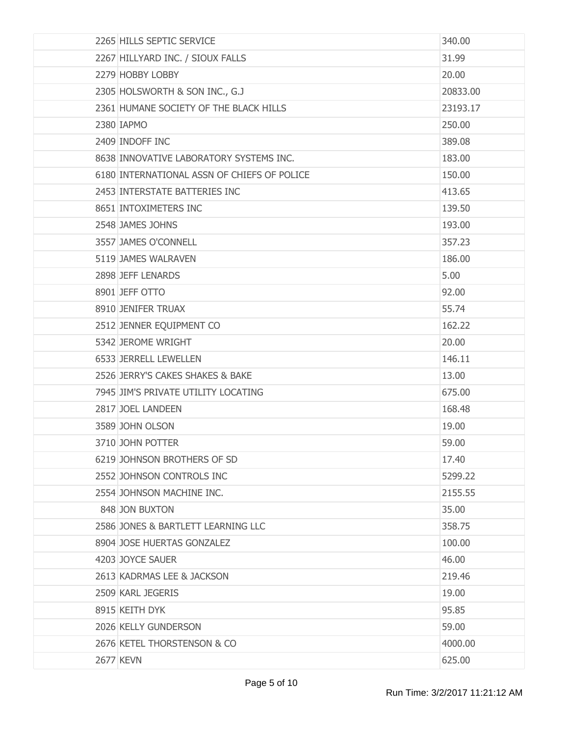| 2265 HILLS SEPTIC SERVICE                   | 340.00   |
|---------------------------------------------|----------|
| 2267 HILLYARD INC. / SIOUX FALLS            | 31.99    |
| 2279 HOBBY LOBBY                            | 20.00    |
| 2305 HOLSWORTH & SON INC., G.J              | 20833.00 |
| 2361 HUMANE SOCIETY OF THE BLACK HILLS      | 23193.17 |
| 2380 IAPMO                                  | 250.00   |
| 2409 INDOFF INC                             | 389.08   |
| 8638 INNOVATIVE LABORATORY SYSTEMS INC.     | 183.00   |
| 6180 INTERNATIONAL ASSN OF CHIEFS OF POLICE | 150.00   |
| 2453 INTERSTATE BATTERIES INC               | 413.65   |
| 8651 INTOXIMETERS INC                       | 139.50   |
| 2548 JAMES JOHNS                            | 193.00   |
| 3557 JAMES O'CONNELL                        | 357.23   |
| 5119 JAMES WALRAVEN                         | 186.00   |
| 2898 JEFF LENARDS                           | 5.00     |
| 8901 JEFF OTTO                              | 92.00    |
| 8910 JENIFER TRUAX                          | 55.74    |
| 2512 JENNER EQUIPMENT CO                    | 162.22   |
| 5342 JEROME WRIGHT                          | 20.00    |
| 6533 JERRELL LEWELLEN                       | 146.11   |
| 2526 JERRY'S CAKES SHAKES & BAKE            | 13.00    |
| 7945 JIM'S PRIVATE UTILITY LOCATING         | 675.00   |
| 2817 JOEL LANDEEN                           | 168.48   |
| 3589 JOHN OLSON                             | 19.00    |
| 3710 JOHN POTTER                            | 59.00    |
| 6219 JOHNSON BROTHERS OF SD                 | 17.40    |
| 2552 JOHNSON CONTROLS INC                   | 5299.22  |
| 2554 JOHNSON MACHINE INC.                   | 2155.55  |
| 848 JON BUXTON                              | 35.00    |
| 2586 JONES & BARTLETT LEARNING LLC          | 358.75   |
| 8904 JOSE HUERTAS GONZALEZ                  | 100.00   |
| 4203 JOYCE SAUER                            | 46.00    |
| 2613 KADRMAS LEE & JACKSON                  | 219.46   |
| 2509 KARL JEGERIS                           | 19.00    |
| 8915 KEITH DYK                              | 95.85    |
| 2026 KELLY GUNDERSON                        | 59.00    |
| 2676 KETEL THORSTENSON & CO                 | 4000.00  |
| <b>2677 KEVN</b>                            | 625.00   |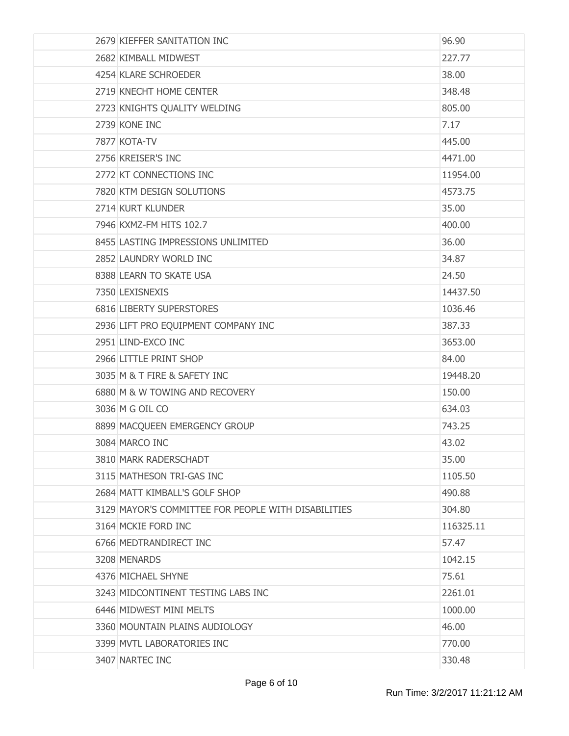| 2679 KIEFFER SANITATION INC                         | 96.90     |
|-----------------------------------------------------|-----------|
| 2682 KIMBALL MIDWEST                                | 227.77    |
| 4254 KLARE SCHROEDER                                | 38.00     |
| 2719 KNECHT HOME CENTER                             | 348.48    |
| 2723 KNIGHTS QUALITY WELDING                        | 805.00    |
| 2739 KONE INC                                       | 7.17      |
| 7877 KOTA-TV                                        | 445.00    |
| 2756 KREISER'S INC                                  | 4471.00   |
| 2772 KT CONNECTIONS INC                             | 11954.00  |
| 7820 KTM DESIGN SOLUTIONS                           | 4573.75   |
| 2714 KURT KLUNDER                                   | 35.00     |
| 7946 KXMZ-FM HITS 102.7                             | 400.00    |
| 8455 LASTING IMPRESSIONS UNLIMITED                  | 36.00     |
| 2852 LAUNDRY WORLD INC                              | 34.87     |
| 8388 LEARN TO SKATE USA                             | 24.50     |
| 7350 LEXISNEXIS                                     | 14437.50  |
| 6816 LIBERTY SUPERSTORES                            | 1036.46   |
| 2936 LIFT PRO EQUIPMENT COMPANY INC                 | 387.33    |
| 2951 LIND-EXCO INC                                  | 3653.00   |
| 2966 LITTLE PRINT SHOP                              | 84.00     |
| 3035 M & T FIRE & SAFETY INC                        | 19448.20  |
| 6880 M & W TOWING AND RECOVERY                      | 150.00    |
| 3036 M G OIL CO                                     | 634.03    |
| 8899 MACQUEEN EMERGENCY GROUP                       | 743.25    |
| 3084 MARCO INC                                      | 43.02     |
| 3810 MARK RADERSCHADT                               | 35.00     |
| 3115 MATHESON TRI-GAS INC                           | 1105.50   |
| 2684 MATT KIMBALL'S GOLF SHOP                       | 490.88    |
| 3129 MAYOR'S COMMITTEE FOR PEOPLE WITH DISABILITIES | 304.80    |
| 3164 MCKIE FORD INC                                 | 116325.11 |
| 6766 MEDTRANDIRECT INC                              | 57.47     |
| 3208 MENARDS                                        | 1042.15   |
| 4376 MICHAEL SHYNE                                  | 75.61     |
| 3243 MIDCONTINENT TESTING LABS INC                  | 2261.01   |
| 6446 MIDWEST MINI MELTS                             | 1000.00   |
| 3360 MOUNTAIN PLAINS AUDIOLOGY                      | 46.00     |
| 3399 MVTL LABORATORIES INC                          | 770.00    |
| 3407 NARTEC INC                                     | 330.48    |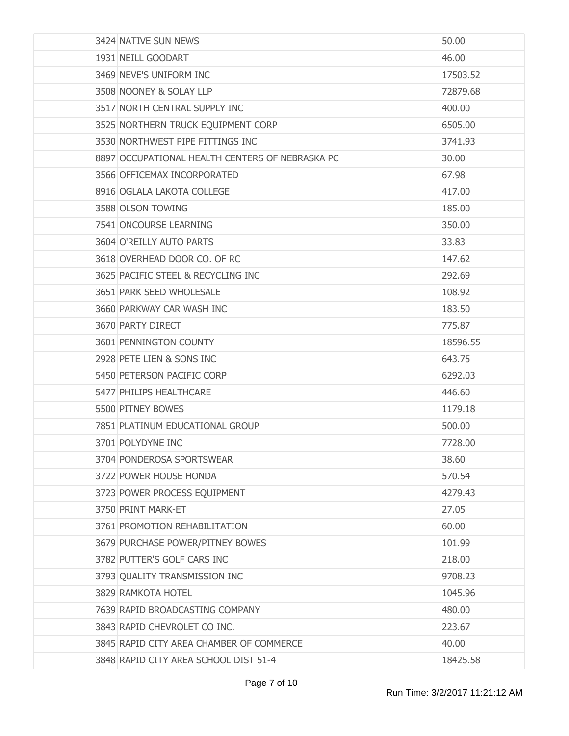| 3424 NATIVE SUN NEWS                            | 50.00    |
|-------------------------------------------------|----------|
| 1931 NEILL GOODART                              | 46.00    |
| 3469 NEVE'S UNIFORM INC                         | 17503.52 |
| 3508 NOONEY & SOLAY LLP                         | 72879.68 |
| 3517 NORTH CENTRAL SUPPLY INC                   | 400.00   |
| 3525 NORTHERN TRUCK EQUIPMENT CORP              | 6505.00  |
| 3530 NORTHWEST PIPE FITTINGS INC                | 3741.93  |
| 8897 OCCUPATIONAL HEALTH CENTERS OF NEBRASKA PC | 30.00    |
| 3566 OFFICEMAX INCORPORATED                     | 67.98    |
| 8916 OGLALA LAKOTA COLLEGE                      | 417.00   |
| 3588 OLSON TOWING                               | 185.00   |
| 7541 ONCOURSE LEARNING                          | 350.00   |
| 3604 O'REILLY AUTO PARTS                        | 33.83    |
| 3618 OVERHEAD DOOR CO. OF RC                    | 147.62   |
| 3625 PACIFIC STEEL & RECYCLING INC              | 292.69   |
| 3651 PARK SEED WHOLESALE                        | 108.92   |
| 3660 PARKWAY CAR WASH INC                       | 183.50   |
| 3670 PARTY DIRECT                               | 775.87   |
| 3601 PENNINGTON COUNTY                          | 18596.55 |
| 2928 PETE LIEN & SONS INC                       | 643.75   |
| 5450 PETERSON PACIFIC CORP                      | 6292.03  |
| 5477 PHILIPS HEALTHCARE                         | 446.60   |
| 5500 PITNEY BOWES                               | 1179.18  |
| 7851 PLATINUM EDUCATIONAL GROUP                 | 500,00   |
| 3701 POLYDYNE INC                               | 7728.00  |
| 3704 PONDEROSA SPORTSWEAR                       | 38.60    |
| 3722 POWER HOUSE HONDA                          | 570.54   |
| 3723 POWER PROCESS EQUIPMENT                    | 4279.43  |
| 3750 PRINT MARK-ET                              | 27.05    |
| 3761 PROMOTION REHABILITATION                   | 60.00    |
| 3679 PURCHASE POWER/PITNEY BOWES                | 101.99   |
| 3782 PUTTER'S GOLF CARS INC                     | 218.00   |
| 3793 QUALITY TRANSMISSION INC                   | 9708.23  |
| 3829 RAMKOTA HOTEL                              | 1045.96  |
| 7639 RAPID BROADCASTING COMPANY                 | 480.00   |
| 3843 RAPID CHEVROLET CO INC.                    | 223.67   |
| 3845 RAPID CITY AREA CHAMBER OF COMMERCE        | 40.00    |
| 3848 RAPID CITY AREA SCHOOL DIST 51-4           | 18425.58 |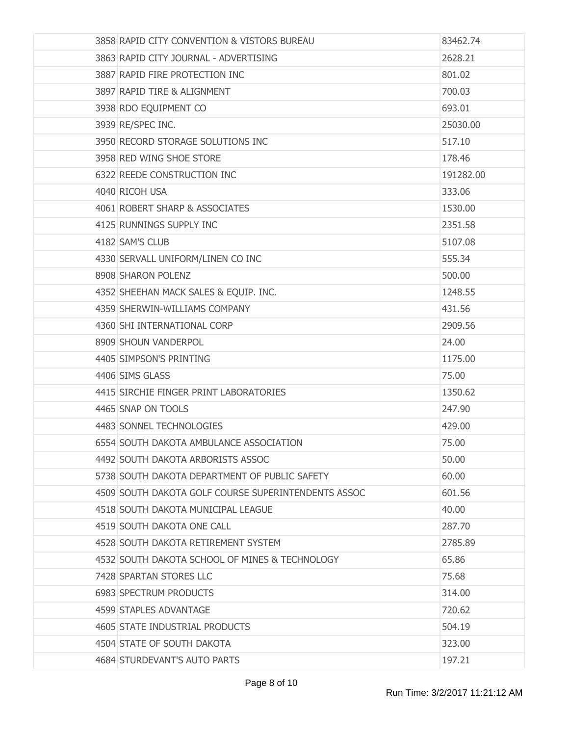| 3858 RAPID CITY CONVENTION & VISTORS BUREAU         | 83462.74  |
|-----------------------------------------------------|-----------|
| 3863 RAPID CITY JOURNAL - ADVERTISING               | 2628.21   |
| 3887 RAPID FIRE PROTECTION INC                      | 801.02    |
| 3897 RAPID TIRE & ALIGNMENT                         | 700.03    |
| 3938 RDO EQUIPMENT CO                               | 693.01    |
| 3939 RE/SPEC INC.                                   | 25030.00  |
| 3950 RECORD STORAGE SOLUTIONS INC                   | 517.10    |
| 3958 RED WING SHOE STORE                            | 178.46    |
| 6322 REEDE CONSTRUCTION INC                         | 191282.00 |
| 4040 RICOH USA                                      | 333.06    |
| 4061 ROBERT SHARP & ASSOCIATES                      | 1530.00   |
| 4125 RUNNINGS SUPPLY INC                            | 2351.58   |
| 4182 SAM'S CLUB                                     | 5107.08   |
| 4330 SERVALL UNIFORM/LINEN CO INC                   | 555.34    |
| 8908 SHARON POLENZ                                  | 500.00    |
| 4352 SHEEHAN MACK SALES & EQUIP. INC.               | 1248.55   |
| 4359 SHERWIN-WILLIAMS COMPANY                       | 431.56    |
| 4360 SHI INTERNATIONAL CORP                         | 2909.56   |
| 8909 SHOUN VANDERPOL                                | 24.00     |
| 4405 SIMPSON'S PRINTING                             | 1175.00   |
| 4406 SIMS GLASS                                     | 75.00     |
| 4415 SIRCHIE FINGER PRINT LABORATORIES              | 1350.62   |
| 4465 SNAP ON TOOLS                                  | 247.90    |
| 4483 SONNEL TECHNOLOGIES                            | 429.00    |
| 6554 SOUTH DAKOTA AMBULANCE ASSOCIATION             | 75.00     |
| 4492 SOUTH DAKOTA ARBORISTS ASSOC                   | 50.00     |
| 5738 SOUTH DAKOTA DEPARTMENT OF PUBLIC SAFETY       | 60.00     |
| 4509 SOUTH DAKOTA GOLF COURSE SUPERINTENDENTS ASSOC | 601.56    |
| 4518 SOUTH DAKOTA MUNICIPAL LEAGUE                  | 40.00     |
| 4519 SOUTH DAKOTA ONE CALL                          | 287.70    |
| 4528 SOUTH DAKOTA RETIREMENT SYSTEM                 | 2785.89   |
| 4532 SOUTH DAKOTA SCHOOL OF MINES & TECHNOLOGY      | 65.86     |
| 7428 SPARTAN STORES LLC                             | 75.68     |
| 6983 SPECTRUM PRODUCTS                              | 314.00    |
| 4599 STAPLES ADVANTAGE                              | 720.62    |
| 4605 STATE INDUSTRIAL PRODUCTS                      | 504.19    |
| 4504 STATE OF SOUTH DAKOTA                          | 323.00    |
| 4684 STURDEVANT'S AUTO PARTS                        | 197.21    |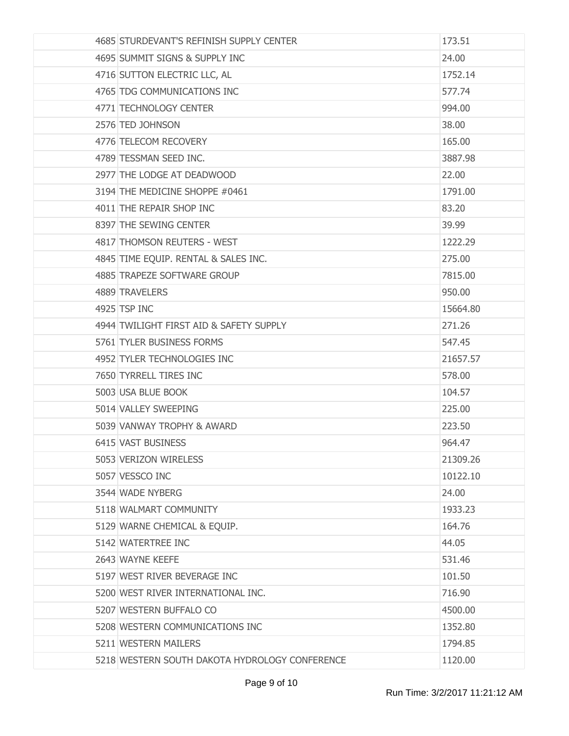| 4685 STURDEVANT'S REFINISH SUPPLY CENTER       | 173.51   |
|------------------------------------------------|----------|
| 4695 SUMMIT SIGNS & SUPPLY INC                 | 24.00    |
| 4716 SUTTON ELECTRIC LLC, AL                   | 1752.14  |
| 4765 TDG COMMUNICATIONS INC                    | 577.74   |
| 4771 TECHNOLOGY CENTER                         | 994.00   |
| 2576 TED JOHNSON                               | 38.00    |
| 4776 TELECOM RECOVERY                          | 165.00   |
| 4789 TESSMAN SEED INC.                         | 3887.98  |
| 2977 THE LODGE AT DEADWOOD                     | 22.00    |
| 3194 THE MEDICINE SHOPPE #0461                 | 1791.00  |
| 4011 THE REPAIR SHOP INC                       | 83.20    |
| 8397 THE SEWING CENTER                         | 39.99    |
| 4817 THOMSON REUTERS - WEST                    | 1222.29  |
| 4845 TIME EQUIP. RENTAL & SALES INC.           | 275.00   |
| 4885 TRAPEZE SOFTWARE GROUP                    | 7815.00  |
| 4889 TRAVELERS                                 | 950,00   |
| 4925 TSP INC                                   | 15664.80 |
| 4944 TWILIGHT FIRST AID & SAFETY SUPPLY        | 271.26   |
| 5761 TYLER BUSINESS FORMS                      | 547.45   |
| 4952 TYLER TECHNOLOGIES INC                    | 21657.57 |
| 7650 TYRRELL TIRES INC                         | 578.00   |
| 5003 USA BLUE BOOK                             | 104.57   |
| 5014 VALLEY SWEEPING                           | 225.00   |
| 5039 VANWAY TROPHY & AWARD                     | 223.50   |
| 6415 VAST BUSINESS                             | 964.47   |
| 5053 VERIZON WIRELESS                          | 21309.26 |
| 5057 VESSCO INC                                | 10122.10 |
| 3544 WADE NYBERG                               | 24.00    |
| 5118 WALMART COMMUNITY                         | 1933.23  |
| 5129 WARNE CHEMICAL & EQUIP.                   | 164.76   |
| 5142 WATERTREE INC                             | 44.05    |
| 2643 WAYNE KEEFE                               | 531.46   |
| 5197 WEST RIVER BEVERAGE INC                   | 101.50   |
| 5200 WEST RIVER INTERNATIONAL INC.             | 716.90   |
| 5207 WESTERN BUFFALO CO                        | 4500.00  |
| 5208 WESTERN COMMUNICATIONS INC                | 1352.80  |
| 5211 WESTERN MAILERS                           | 1794.85  |
| 5218 WESTERN SOUTH DAKOTA HYDROLOGY CONFERENCE | 1120.00  |